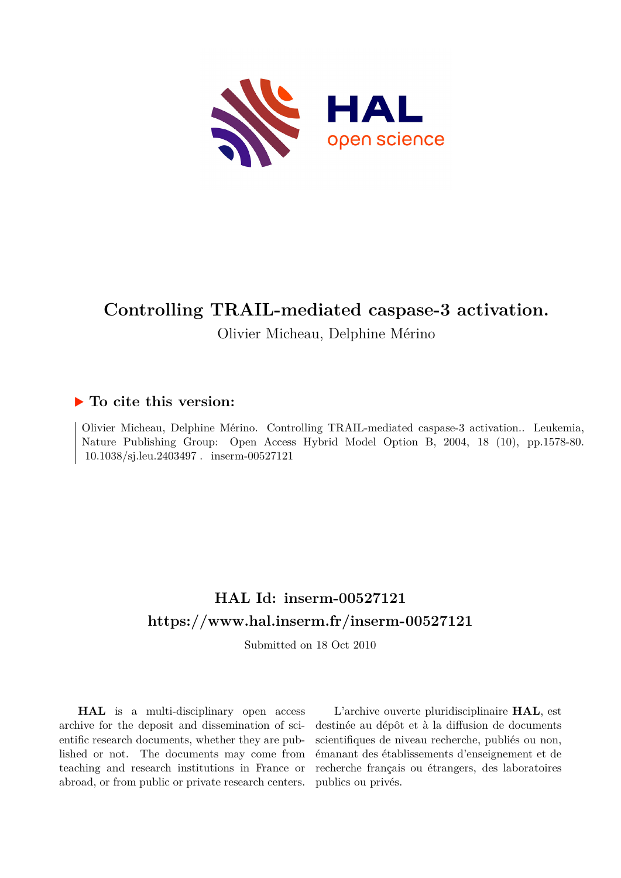

# **Controlling TRAIL-mediated caspase-3 activation.**

Olivier Micheau, Delphine Mérino

### **To cite this version:**

Olivier Micheau, Delphine Mérino. Controlling TRAIL-mediated caspase-3 activation.. Leukemia, Nature Publishing Group: Open Access Hybrid Model Option B, 2004, 18 (10), pp.1578-80. 10.1038/sj.leu.2403497. inserm-00527121

## **HAL Id: inserm-00527121 <https://www.hal.inserm.fr/inserm-00527121>**

Submitted on 18 Oct 2010

**HAL** is a multi-disciplinary open access archive for the deposit and dissemination of scientific research documents, whether they are published or not. The documents may come from teaching and research institutions in France or abroad, or from public or private research centers.

L'archive ouverte pluridisciplinaire **HAL**, est destinée au dépôt et à la diffusion de documents scientifiques de niveau recherche, publiés ou non, émanant des établissements d'enseignement et de recherche français ou étrangers, des laboratoires publics ou privés.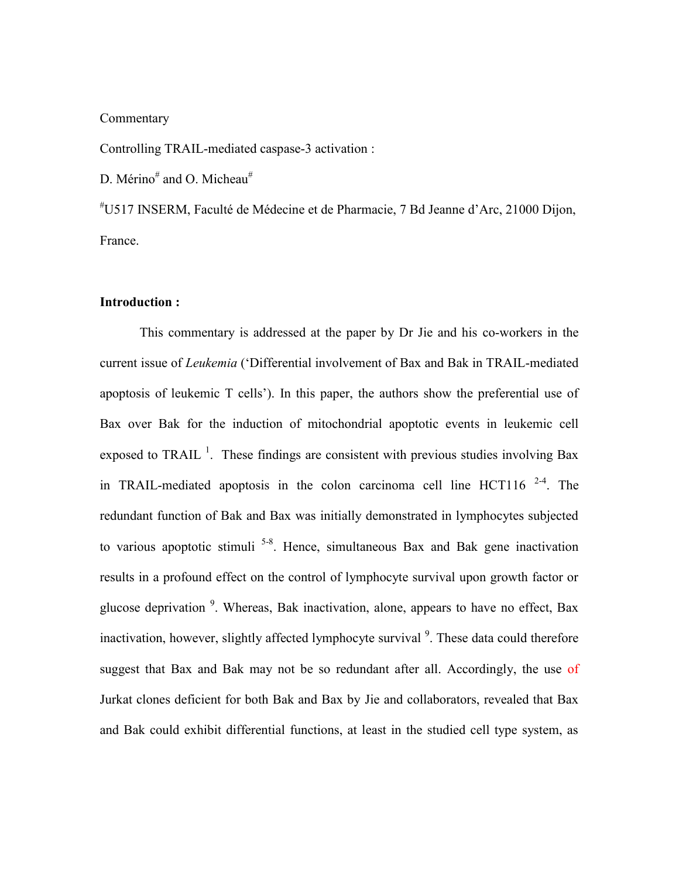#### **Commentary**

Controlling TRAIL-mediated caspase-3 activation :

D. Mérino<sup>#</sup> and O. Micheau<sup>#</sup>

#U517 INSERM, Faculté de Médecine et de Pharmacie, 7 Bd Jeanne d"Arc, 21000 Dijon, France.

#### **Introduction :**

This commentary is addressed at the paper by Dr Jie and his co-workers in the current issue of *Leukemia* ("Differential involvement of Bax and Bak in TRAIL-mediated apoptosis of leukemic T cells"). In this paper, the authors show the preferential use of Bax over Bak for the induction of mitochondrial apoptotic events in leukemic cell exposed to TRAIL<sup>1</sup>. These findings are consistent with previous studies involving Bax in TRAIL-mediated apoptosis in the colon carcinoma cell line HCT116  $2-4$ . The redundant function of Bak and Bax was initially demonstrated in lymphocytes subjected to various apoptotic stimuli<sup>5-8</sup>. Hence, simultaneous Bax and Bak gene inactivation results in a profound effect on the control of lymphocyte survival upon growth factor or glucose deprivation <sup>9</sup>. Whereas, Bak inactivation, alone, appears to have no effect, Bax inactivation, however, slightly affected lymphocyte survival<sup>9</sup>. These data could therefore suggest that Bax and Bak may not be so redundant after all. Accordingly, the use of Jurkat clones deficient for both Bak and Bax by Jie and collaborators, revealed that Bax and Bak could exhibit differential functions, at least in the studied cell type system, as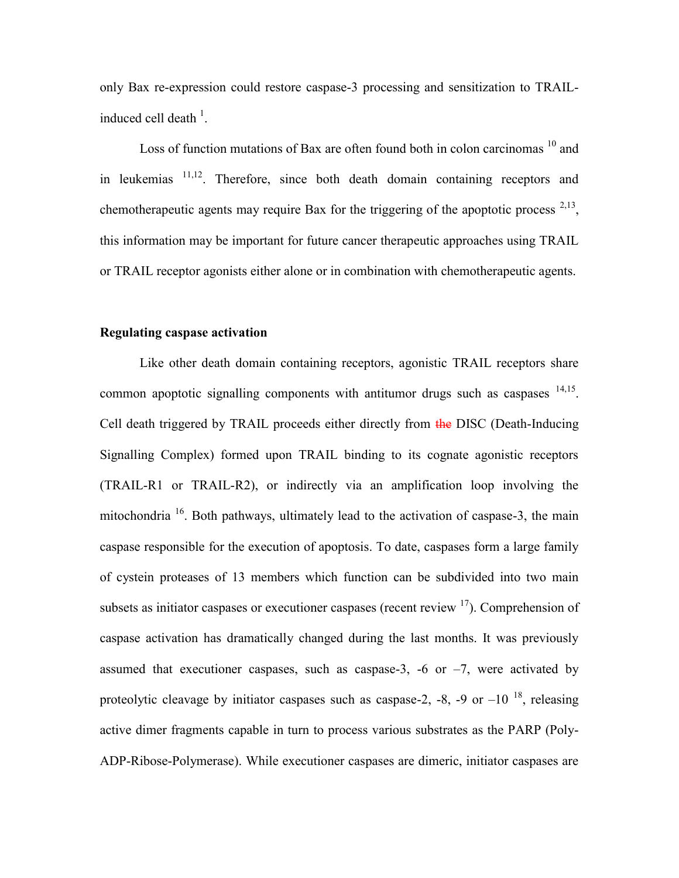only Bax re-expression could restore caspase-3 processing and sensitization to TRAILinduced cell death  $\frac{1}{1}$ .

Loss of function mutations of Bax are often found both in colon carcinomas <sup>10</sup> and in leukemias 11,12. Therefore, since both death domain containing receptors and chemotherapeutic agents may require Bax for the triggering of the apoptotic process  $2,13$ , this information may be important for future cancer therapeutic approaches using TRAIL or TRAIL receptor agonists either alone or in combination with chemotherapeutic agents.

#### **Regulating caspase activation**

Like other death domain containing receptors, agonistic TRAIL receptors share common apoptotic signalling components with antitumor drugs such as caspases  $14,15$ . Cell death triggered by TRAIL proceeds either directly from the DISC (Death-Inducing Signalling Complex) formed upon TRAIL binding to its cognate agonistic receptors (TRAIL-R1 or TRAIL-R2), or indirectly via an amplification loop involving the mitochondria <sup>16</sup>. Both pathways, ultimately lead to the activation of caspase-3, the main caspase responsible for the execution of apoptosis. To date, caspases form a large family of cystein proteases of 13 members which function can be subdivided into two main subsets as initiator caspases or executioner caspases (recent review  $17$ ). Comprehension of caspase activation has dramatically changed during the last months. It was previously assumed that executioner caspases, such as caspase-3, -6 or  $-7$ , were activated by proteolytic cleavage by initiator caspases such as caspase-2, -8, -9 or  $-10^{-18}$ , releasing active dimer fragments capable in turn to process various substrates as the PARP (Poly-ADP-Ribose-Polymerase). While executioner caspases are dimeric, initiator caspases are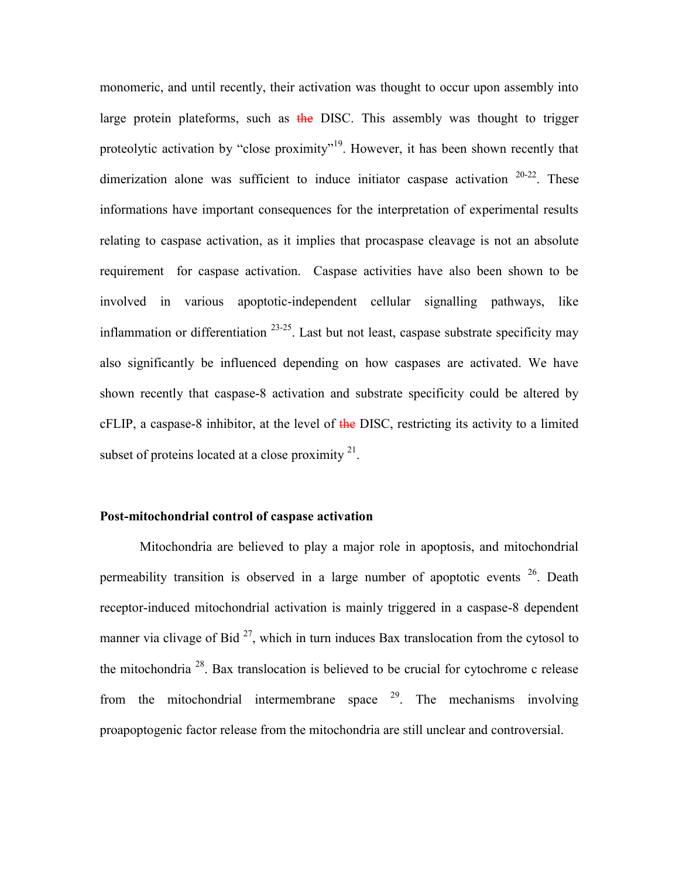monomeric, and until recently, their activation was thought to occur upon assembly into large protein plateforms, such as  $\frac{1}{2}$  and DISC. This assembly was thought to trigger proteolytic activation by "close proximity"<sup>19</sup>. However, it has been shown recently that dimerization alone was sufficient to induce initiator caspase activation  $20-22$ . These informations have important consequences for the interpretation of experimental results relating to caspase activation, as it implies that procaspase cleavage is not an absolute requirement for caspase activation. Caspase activities have also been shown to be involved in various apoptotic-independent cellular signalling pathways, like inflammation or differentiation  $23-25$ . Last but not least, caspase substrate specificity may also significantly be influenced depending on how caspases are activated. We have shown recently that caspase-8 activation and substrate specificity could be altered by  $cFLIP$ , a caspase-8 inhibitor, at the level of  $t$ he DISC, restricting its activity to a limited subset of proteins located at a close proximity  $2<sup>1</sup>$ .

#### **Post-mitochondrial control of caspase activation**

Mitochondria are believed to play a major role in apoptosis, and mitochondrial permeability transition is observed in a large number of apoptotic events  $26$ . Death receptor-induced mitochondrial activation is mainly triggered in a caspase-8 dependent manner via clivage of Bid  $^{27}$ , which in turn induces Bax translocation from the cytosol to the mitochondria  $^{28}$ . Bax translocation is believed to be crucial for cytochrome c release from the mitochondrial intermembrane space  $29$ . The mechanisms involving proapoptogenic factor release from the mitochondria are still unclear and controversial.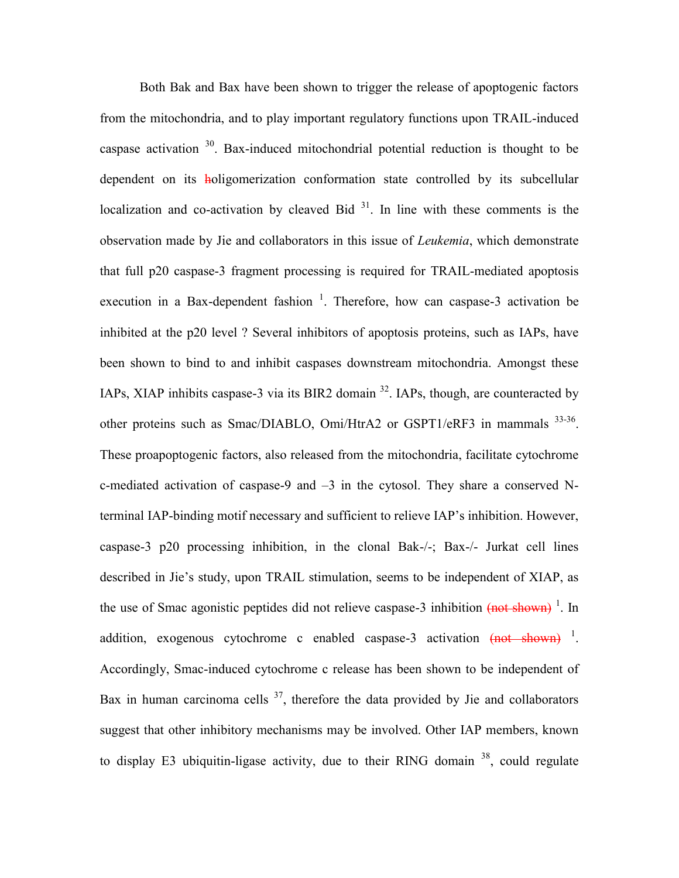Both Bak and Bax have been shown to trigger the release of apoptogenic factors from the mitochondria, and to play important regulatory functions upon TRAIL-induced caspase activation  $30$ . Bax-induced mitochondrial potential reduction is thought to be dependent on its holigomerization conformation state controlled by its subcellular localization and co-activation by cleaved Bid  $31$ . In line with these comments is the observation made by Jie and collaborators in this issue of *Leukemia*, which demonstrate that full p20 caspase-3 fragment processing is required for TRAIL-mediated apoptosis execution in a Bax-dependent fashion  $1$ . Therefore, how can caspase-3 activation be inhibited at the p20 level ? Several inhibitors of apoptosis proteins, such as IAPs, have been shown to bind to and inhibit caspases downstream mitochondria. Amongst these IAPs, XIAP inhibits caspase-3 via its BIR2 domain <sup>32</sup>. IAPs, though, are counteracted by other proteins such as Smac/DIABLO, Omi/HtrA2 or GSPT1/eRF3 in mammals <sup>33-36</sup>. These proapoptogenic factors, also released from the mitochondria, facilitate cytochrome c-mediated activation of caspase-9 and –3 in the cytosol. They share a conserved Nterminal IAP-binding motif necessary and sufficient to relieve IAP"s inhibition. However, caspase-3 p20 processing inhibition, in the clonal Bak-/-; Bax-/- Jurkat cell lines described in Jie"s study, upon TRAIL stimulation, seems to be independent of XIAP, as the use of Smac agonistic peptides did not relieve caspase-3 inhibition (not shown)<sup>1</sup>. In addition, exogenous cytochrome c enabled caspase-3 activation  $(mot - shown)^{-1}$ . Accordingly, Smac-induced cytochrome c release has been shown to be independent of Bax in human carcinoma cells  $37$ , therefore the data provided by Jie and collaborators suggest that other inhibitory mechanisms may be involved. Other IAP members, known to display E3 ubiquitin-ligase activity, due to their RING domain  $38$ , could regulate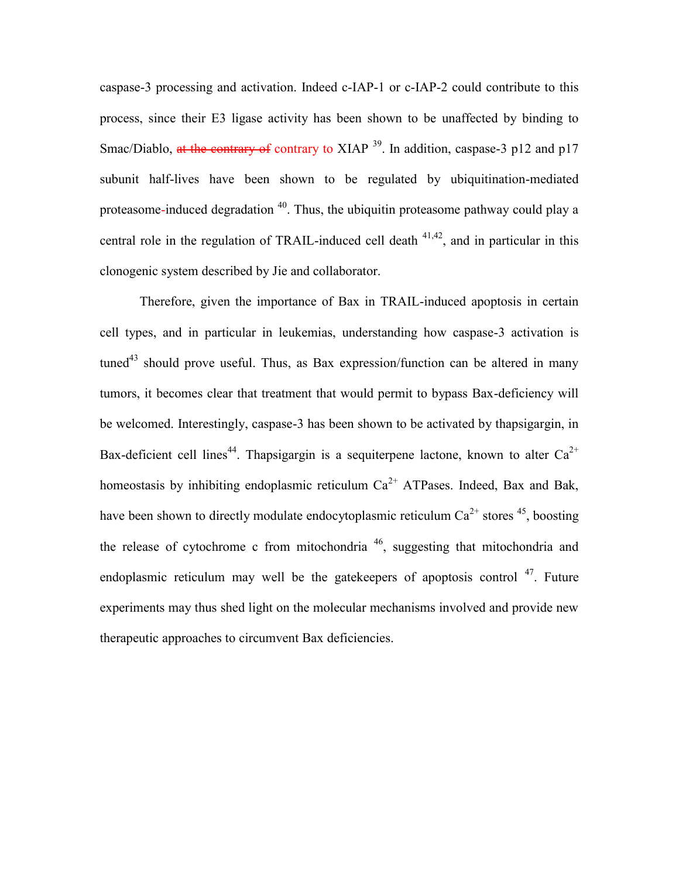caspase-3 processing and activation. Indeed c-IAP-1 or c-IAP-2 could contribute to this process, since their E3 ligase activity has been shown to be unaffected by binding to Smac/Diablo, at the contrary of contrary to XIAP  $^{39}$ . In addition, caspase-3 p12 and p17 subunit half-lives have been shown to be regulated by ubiquitination-mediated proteasome-induced degradation  $40$ . Thus, the ubiquitin proteasome pathway could play a central role in the regulation of TRAIL-induced cell death  $41,42$ , and in particular in this clonogenic system described by Jie and collaborator.

Therefore, given the importance of Bax in TRAIL-induced apoptosis in certain cell types, and in particular in leukemias, understanding how caspase-3 activation is  $tuned^{43}$  should prove useful. Thus, as Bax expression/function can be altered in many tumors, it becomes clear that treatment that would permit to bypass Bax-deficiency will be welcomed. Interestingly, caspase-3 has been shown to be activated by thapsigargin, in Bax-deficient cell lines<sup>44</sup>. Thapsigargin is a sequiterpene lactone, known to alter  $Ca^{2+}$ homeostasis by inhibiting endoplasmic reticulum  $Ca^{2+}$  ATPases. Indeed, Bax and Bak, have been shown to directly modulate endocytoplasmic reticulum  $Ca^{2+}$  stores <sup>45</sup>, boosting the release of cytochrome c from mitochondria  $46$ , suggesting that mitochondria and endoplasmic reticulum may well be the gatekeepers of apoptosis control  $47$ . Future experiments may thus shed light on the molecular mechanisms involved and provide new therapeutic approaches to circumvent Bax deficiencies.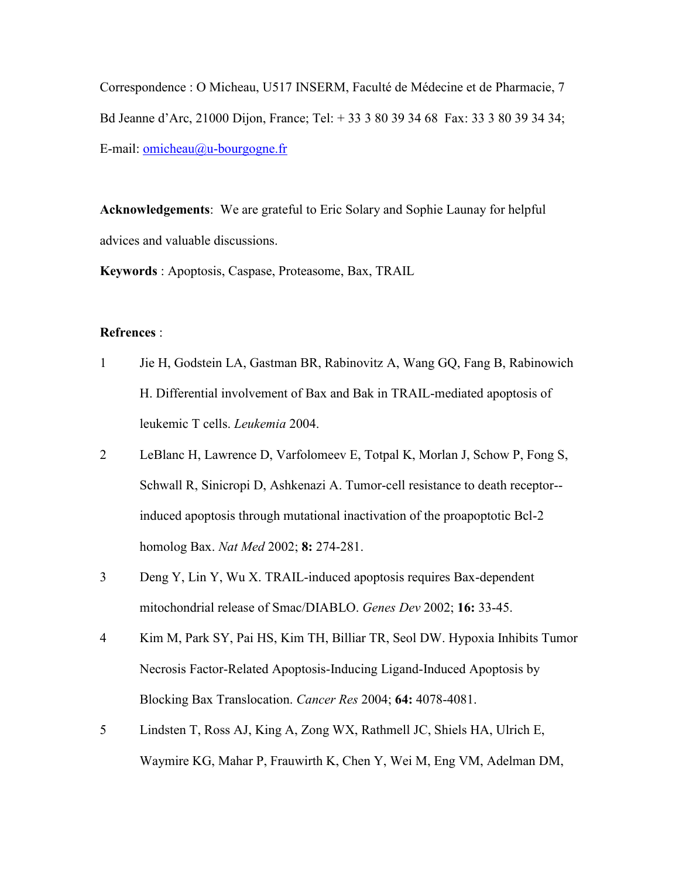Correspondence : O Micheau, U517 INSERM, Faculté de Médecine et de Pharmacie, 7 Bd Jeanne d"Arc, 21000 Dijon, France; Tel: + 33 3 80 39 34 68 Fax: 33 3 80 39 34 34; E-mail: [omicheau@u-bourgogne.fr](mailto:omicheau@u-bourgogne.fr)

**Acknowledgements**: We are grateful to Eric Solary and Sophie Launay for helpful advices and valuable discussions.

**Keywords** : Apoptosis, Caspase, Proteasome, Bax, TRAIL

### **Refrences** :

- 1 Jie H, Godstein LA, Gastman BR, Rabinovitz A, Wang GQ, Fang B, Rabinowich H. Differential involvement of Bax and Bak in TRAIL-mediated apoptosis of leukemic T cells. *Leukemia* 2004.
- 2 LeBlanc H, Lawrence D, Varfolomeev E, Totpal K, Morlan J, Schow P, Fong S, Schwall R, Sinicropi D, Ashkenazi A. Tumor-cell resistance to death receptor- induced apoptosis through mutational inactivation of the proapoptotic Bcl-2 homolog Bax. *Nat Med* 2002; **8:** 274-281.
- 3 Deng Y, Lin Y, Wu X. TRAIL-induced apoptosis requires Bax-dependent mitochondrial release of Smac/DIABLO. *Genes Dev* 2002; **16:** 33-45.
- 4 Kim M, Park SY, Pai HS, Kim TH, Billiar TR, Seol DW. Hypoxia Inhibits Tumor Necrosis Factor-Related Apoptosis-Inducing Ligand-Induced Apoptosis by Blocking Bax Translocation. *Cancer Res* 2004; **64:** 4078-4081.
- 5 Lindsten T, Ross AJ, King A, Zong WX, Rathmell JC, Shiels HA, Ulrich E, Waymire KG, Mahar P, Frauwirth K, Chen Y, Wei M, Eng VM, Adelman DM,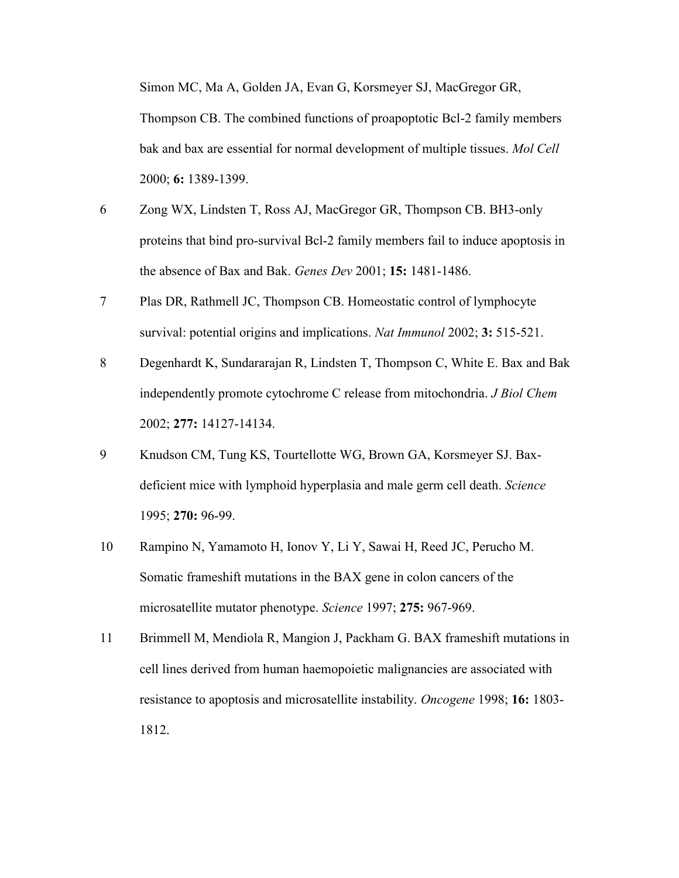Simon MC, Ma A, Golden JA, Evan G, Korsmeyer SJ, MacGregor GR,

Thompson CB. The combined functions of proapoptotic Bcl-2 family members bak and bax are essential for normal development of multiple tissues. *Mol Cell* 2000; **6:** 1389-1399.

- 6 Zong WX, Lindsten T, Ross AJ, MacGregor GR, Thompson CB. BH3-only proteins that bind pro-survival Bcl-2 family members fail to induce apoptosis in the absence of Bax and Bak. *Genes Dev* 2001; **15:** 1481-1486.
- 7 Plas DR, Rathmell JC, Thompson CB. Homeostatic control of lymphocyte survival: potential origins and implications. *Nat Immunol* 2002; **3:** 515-521.
- 8 Degenhardt K, Sundararajan R, Lindsten T, Thompson C, White E. Bax and Bak independently promote cytochrome C release from mitochondria. *J Biol Chem* 2002; **277:** 14127-14134.
- 9 Knudson CM, Tung KS, Tourtellotte WG, Brown GA, Korsmeyer SJ. Baxdeficient mice with lymphoid hyperplasia and male germ cell death. *Science* 1995; **270:** 96-99.
- 10 Rampino N, Yamamoto H, Ionov Y, Li Y, Sawai H, Reed JC, Perucho M. Somatic frameshift mutations in the BAX gene in colon cancers of the microsatellite mutator phenotype. *Science* 1997; **275:** 967-969.
- 11 Brimmell M, Mendiola R, Mangion J, Packham G. BAX frameshift mutations in cell lines derived from human haemopoietic malignancies are associated with resistance to apoptosis and microsatellite instability. *Oncogene* 1998; **16:** 1803- 1812.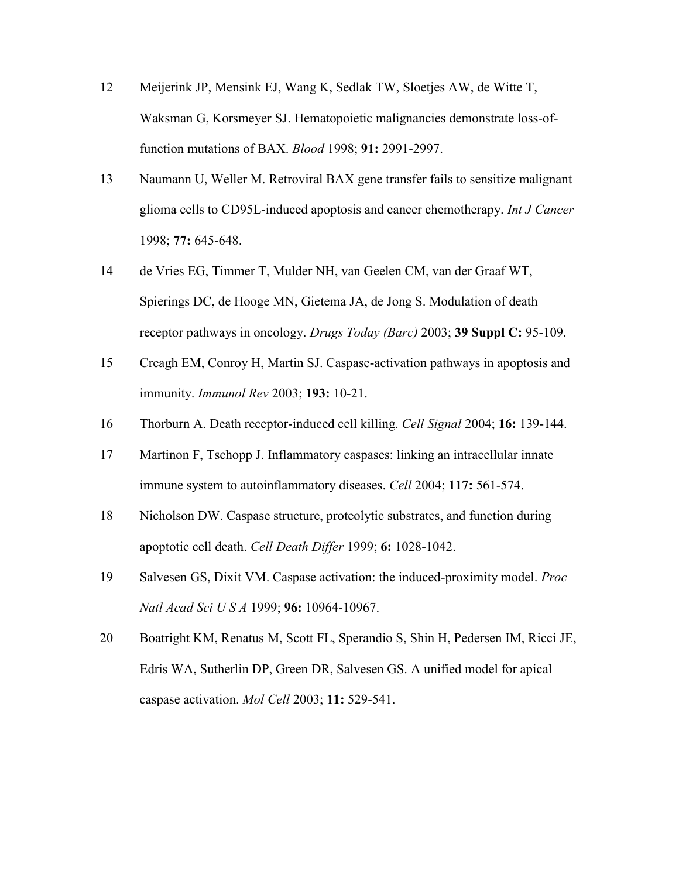- 12 Meijerink JP, Mensink EJ, Wang K, Sedlak TW, Sloetjes AW, de Witte T, Waksman G, Korsmeyer SJ. Hematopoietic malignancies demonstrate loss-offunction mutations of BAX. *Blood* 1998; **91:** 2991-2997.
- 13 Naumann U, Weller M. Retroviral BAX gene transfer fails to sensitize malignant glioma cells to CD95L-induced apoptosis and cancer chemotherapy. *Int J Cancer* 1998; **77:** 645-648.
- 14 de Vries EG, Timmer T, Mulder NH, van Geelen CM, van der Graaf WT, Spierings DC, de Hooge MN, Gietema JA, de Jong S. Modulation of death receptor pathways in oncology. *Drugs Today (Barc)* 2003; **39 Suppl C:** 95-109.
- 15 Creagh EM, Conroy H, Martin SJ. Caspase-activation pathways in apoptosis and immunity. *Immunol Rev* 2003; **193:** 10-21.
- 16 Thorburn A. Death receptor-induced cell killing. *Cell Signal* 2004; **16:** 139-144.
- 17 Martinon F, Tschopp J. Inflammatory caspases: linking an intracellular innate immune system to autoinflammatory diseases. *Cell* 2004; **117:** 561-574.
- 18 Nicholson DW. Caspase structure, proteolytic substrates, and function during apoptotic cell death. *Cell Death Differ* 1999; **6:** 1028-1042.
- 19 Salvesen GS, Dixit VM. Caspase activation: the induced-proximity model. *Proc Natl Acad Sci U S A* 1999; **96:** 10964-10967.
- 20 Boatright KM, Renatus M, Scott FL, Sperandio S, Shin H, Pedersen IM, Ricci JE, Edris WA, Sutherlin DP, Green DR, Salvesen GS. A unified model for apical caspase activation. *Mol Cell* 2003; **11:** 529-541.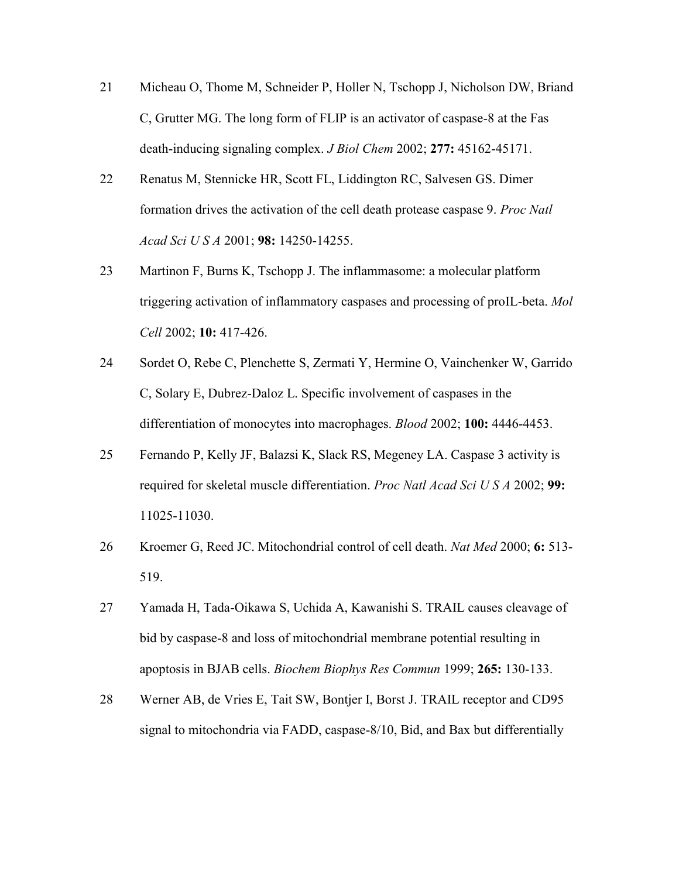- 21 Micheau O, Thome M, Schneider P, Holler N, Tschopp J, Nicholson DW, Briand C, Grutter MG. The long form of FLIP is an activator of caspase-8 at the Fas death-inducing signaling complex. *J Biol Chem* 2002; **277:** 45162-45171.
- 22 Renatus M, Stennicke HR, Scott FL, Liddington RC, Salvesen GS. Dimer formation drives the activation of the cell death protease caspase 9. *Proc Natl Acad Sci U S A* 2001; **98:** 14250-14255.
- 23 Martinon F, Burns K, Tschopp J. The inflammasome: a molecular platform triggering activation of inflammatory caspases and processing of proIL-beta. *Mol Cell* 2002; **10:** 417-426.
- 24 Sordet O, Rebe C, Plenchette S, Zermati Y, Hermine O, Vainchenker W, Garrido C, Solary E, Dubrez-Daloz L. Specific involvement of caspases in the differentiation of monocytes into macrophages. *Blood* 2002; **100:** 4446-4453.
- 25 Fernando P, Kelly JF, Balazsi K, Slack RS, Megeney LA. Caspase 3 activity is required for skeletal muscle differentiation. *Proc Natl Acad Sci U S A* 2002; **99:** 11025-11030.
- 26 Kroemer G, Reed JC. Mitochondrial control of cell death. *Nat Med* 2000; **6:** 513- 519.
- 27 Yamada H, Tada-Oikawa S, Uchida A, Kawanishi S. TRAIL causes cleavage of bid by caspase-8 and loss of mitochondrial membrane potential resulting in apoptosis in BJAB cells. *Biochem Biophys Res Commun* 1999; **265:** 130-133.
- 28 Werner AB, de Vries E, Tait SW, Bontjer I, Borst J. TRAIL receptor and CD95 signal to mitochondria via FADD, caspase-8/10, Bid, and Bax but differentially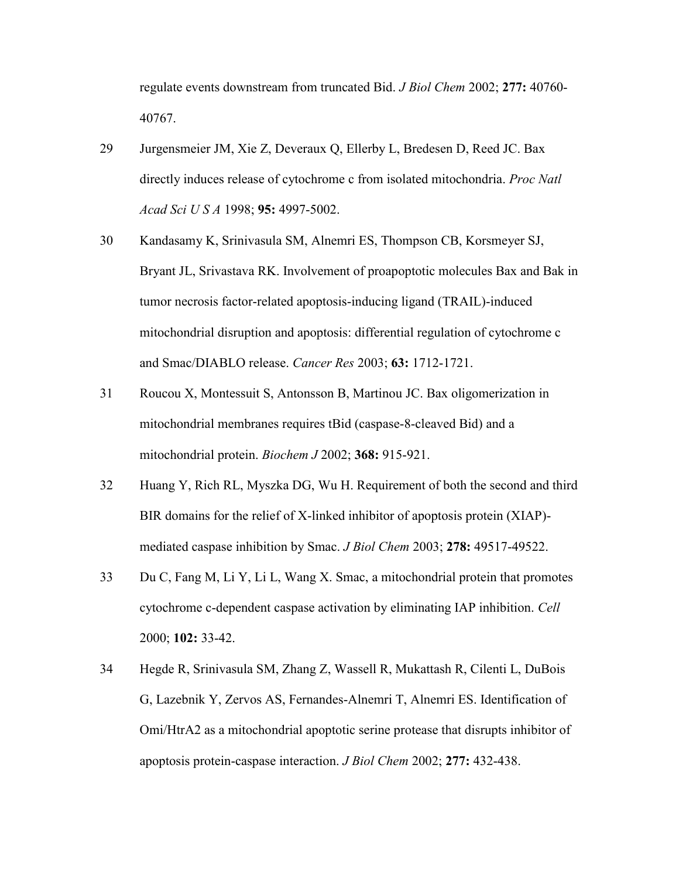regulate events downstream from truncated Bid. *J Biol Chem* 2002; **277:** 40760- 40767.

- 29 Jurgensmeier JM, Xie Z, Deveraux Q, Ellerby L, Bredesen D, Reed JC. Bax directly induces release of cytochrome c from isolated mitochondria. *Proc Natl Acad Sci U S A* 1998; **95:** 4997-5002.
- 30 Kandasamy K, Srinivasula SM, Alnemri ES, Thompson CB, Korsmeyer SJ, Bryant JL, Srivastava RK. Involvement of proapoptotic molecules Bax and Bak in tumor necrosis factor-related apoptosis-inducing ligand (TRAIL)-induced mitochondrial disruption and apoptosis: differential regulation of cytochrome c and Smac/DIABLO release. *Cancer Res* 2003; **63:** 1712-1721.
- 31 Roucou X, Montessuit S, Antonsson B, Martinou JC. Bax oligomerization in mitochondrial membranes requires tBid (caspase-8-cleaved Bid) and a mitochondrial protein. *Biochem J* 2002; **368:** 915-921.
- 32 Huang Y, Rich RL, Myszka DG, Wu H. Requirement of both the second and third BIR domains for the relief of X-linked inhibitor of apoptosis protein (XIAP) mediated caspase inhibition by Smac. *J Biol Chem* 2003; **278:** 49517-49522.
- 33 Du C, Fang M, Li Y, Li L, Wang X. Smac, a mitochondrial protein that promotes cytochrome c-dependent caspase activation by eliminating IAP inhibition. *Cell* 2000; **102:** 33-42.
- 34 Hegde R, Srinivasula SM, Zhang Z, Wassell R, Mukattash R, Cilenti L, DuBois G, Lazebnik Y, Zervos AS, Fernandes-Alnemri T, Alnemri ES. Identification of Omi/HtrA2 as a mitochondrial apoptotic serine protease that disrupts inhibitor of apoptosis protein-caspase interaction. *J Biol Chem* 2002; **277:** 432-438.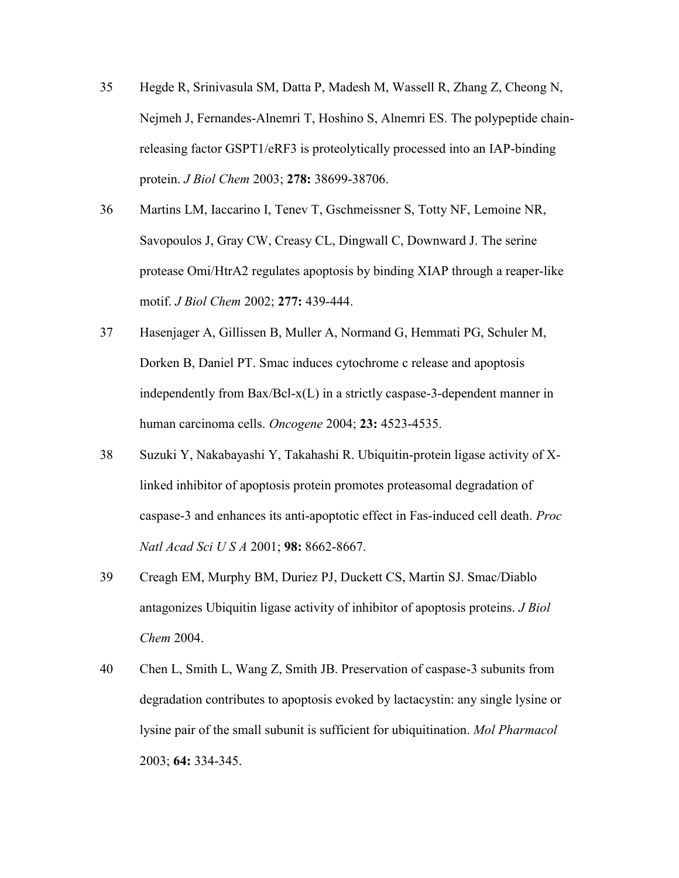- 35 Hegde R, Srinivasula SM, Datta P, Madesh M, Wassell R, Zhang Z, Cheong N, Nejmeh J, Fernandes-Alnemri T, Hoshino S, Alnemri ES. The polypeptide chainreleasing factor GSPT1/eRF3 is proteolytically processed into an IAP-binding protein. *J Biol Chem* 2003; **278:** 38699-38706.
- 36 Martins LM, Iaccarino I, Tenev T, Gschmeissner S, Totty NF, Lemoine NR, Savopoulos J, Gray CW, Creasy CL, Dingwall C, Downward J. The serine protease Omi/HtrA2 regulates apoptosis by binding XIAP through a reaper-like motif. *J Biol Chem* 2002; **277:** 439-444.
- 37 Hasenjager A, Gillissen B, Muller A, Normand G, Hemmati PG, Schuler M, Dorken B, Daniel PT. Smac induces cytochrome c release and apoptosis independently from Bax/Bcl-x(L) in a strictly caspase-3-dependent manner in human carcinoma cells. *Oncogene* 2004; **23:** 4523-4535.
- 38 Suzuki Y, Nakabayashi Y, Takahashi R. Ubiquitin-protein ligase activity of Xlinked inhibitor of apoptosis protein promotes proteasomal degradation of caspase-3 and enhances its anti-apoptotic effect in Fas-induced cell death. *Proc Natl Acad Sci U S A* 2001; **98:** 8662-8667.
- 39 Creagh EM, Murphy BM, Duriez PJ, Duckett CS, Martin SJ. Smac/Diablo antagonizes Ubiquitin ligase activity of inhibitor of apoptosis proteins. *J Biol Chem* 2004.
- 40 Chen L, Smith L, Wang Z, Smith JB. Preservation of caspase-3 subunits from degradation contributes to apoptosis evoked by lactacystin: any single lysine or lysine pair of the small subunit is sufficient for ubiquitination. *Mol Pharmacol* 2003; **64:** 334-345.